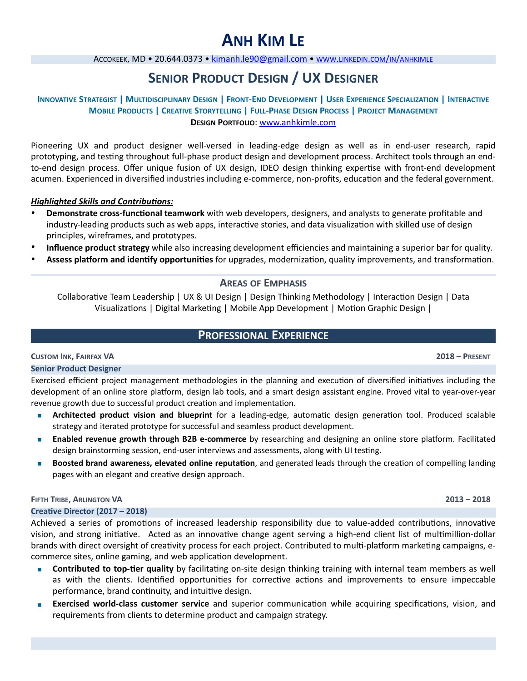# **ANH KIM LE**

ACCOKEEK, MD · 20.644.0373 · [kimanh.le90@gmail.com](mailto:kimanh.le90@gmail.com) · www.LINKEDIN.COM/IN/ANHKIMLE

## **SENIOR PRODUCT DESIGN / UX DESIGNER**

#### **INNOVATIVE STRATEGIST | MULTIDISCIPLINARY DESIGN | FRONT-END DEVELOPMENT | USER EXPERIENCE SPECIALIZATION | INTERACTIVE MOBILE PRODUCTS | CREATIVE STORYTELLING | FULL-PHASE DESIGN PROCESS | PROJECT MANAGEMENT DESIGN PORTFOLIO**: www.anhkimle.com

Pioneering UX and product designer well-versed in leading-edge design as well as in end-user research, rapid prototyping, and testing throughout full-phase product design and development process. Architect tools through an endto-end design process. Offer unique fusion of UX design, IDEO design thinking expertise with front-end development acumen. Experienced in diversified industries including e-commerce, non-profits, education and the federal government.

#### **Highlighted Skills and Contributions:**

- **Demonstrate cross-functional teamwork** with web developers, designers, and analysts to generate profitable and industry-leading products such as web apps, interactive stories, and data visualization with skilled use of design principles, wireframes, and prototypes.
- **Influence product strategy** while also increasing development efficiencies and maintaining a superior bar for quality.
- Assess platform and identify opportunities for upgrades, modernization, quality improvements, and transformation.

#### **AREAS OF EMPHASIS**

Collaborative Team Leadership | UX & UI Design | Design Thinking Methodology | Interaction Design | Data Visualizations | Digital Marketing | Mobile App Development | Motion Graphic Design |

### **PROFESSIONAL EXPERIENCE**

**CUSTOM INK, FAIRFAX VA 2018 – PRESENT Senior Product Designer** 

Exercised efficient project management methodologies in the planning and execution of diversified initiatives including the development of an online store platform, design lab tools, and a smart design assistant engine. Proved vital to year-over-year revenue growth due to successful product creation and implementation.

- **■ Architected product vision and blueprint** for a leading-edge, automatic design generation tool. Produced scalable strategy and iterated prototype for successful and seamless product development.
- **Enabled revenue growth through B2B e-commerce** by researching and designing an online store platform. Facilitated design brainstorming session, end-user interviews and assessments, along with UI testing.
- **Boosted brand awareness, elevated online reputation, and generated leads through the creation of compelling landing** pages with an elegant and creative design approach.

#### **FIFTH TRIBE, ARLINGTON VA 2013 – 2018**

#### **Creative Director (2017 – 2018)**

Achieved a series of promotions of increased leadership responsibility due to value-added contributions, innovative vision, and strong initiative. Acted as an innovative change agent serving a high-end client list of multimillion-dollar brands with direct oversight of creativity process for each project. Contributed to multi-platform marketing campaigns, ecommerce sites, online gaming, and web application development.

- **■ Contributed to top-tier quality** by facilitating on-site design thinking training with internal team members as well as with the clients. Identified opportunities for corrective actions and improvements to ensure impeccable performance, brand continuity, and intuitive design.
- **Exercised world-class customer service** and superior communication while acquiring specifications, vision, and requirements from clients to determine product and campaign strategy.